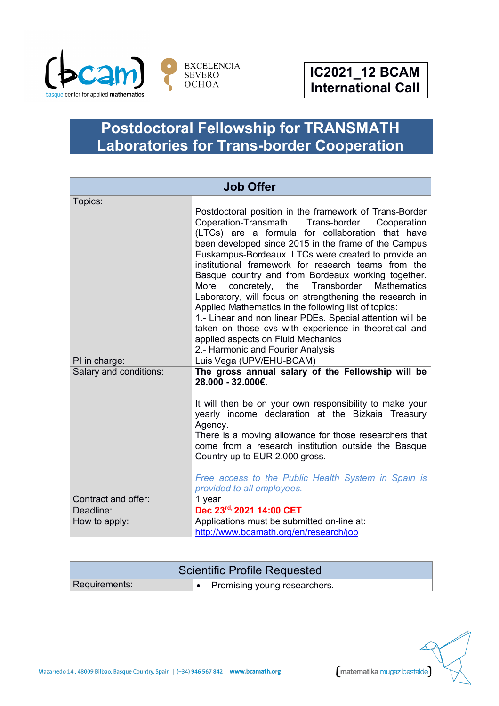

## **Postdoctoral Fellowship for TRANSMATH Laboratories for Trans-border Cooperation**

| <b>Job Offer</b>       |                                                                                                                                                                                                                                                                                                                                                                                                                                                                                                                                                                                                                                                                                                                                                                              |  |
|------------------------|------------------------------------------------------------------------------------------------------------------------------------------------------------------------------------------------------------------------------------------------------------------------------------------------------------------------------------------------------------------------------------------------------------------------------------------------------------------------------------------------------------------------------------------------------------------------------------------------------------------------------------------------------------------------------------------------------------------------------------------------------------------------------|--|
| Topics:                | Postdoctoral position in the framework of Trans-Border<br>Coperation-Transmath. Trans-border<br>Cooperation<br>(LTCs) are a formula for collaboration that have<br>been developed since 2015 in the frame of the Campus<br>Euskampus-Bordeaux. LTCs were created to provide an<br>institutional framework for research teams from the<br>Basque country and from Bordeaux working together.<br>More<br>concretely, the Transborder<br><b>Mathematics</b><br>Laboratory, will focus on strengthening the research in<br>Applied Mathematics in the following list of topics:<br>1.- Linear and non linear PDEs. Special attention will be<br>taken on those cvs with experience in theoretical and<br>applied aspects on Fluid Mechanics<br>2.- Harmonic and Fourier Analysis |  |
| PI in charge:          | Luis Vega (UPV/EHU-BCAM)                                                                                                                                                                                                                                                                                                                                                                                                                                                                                                                                                                                                                                                                                                                                                     |  |
| Salary and conditions: | The gross annual salary of the Fellowship will be<br>28.000 - 32.000€.<br>It will then be on your own responsibility to make your<br>yearly income declaration at the Bizkaia Treasury<br>Agency.<br>There is a moving allowance for those researchers that<br>come from a research institution outside the Basque<br>Country up to EUR 2.000 gross.<br>Free access to the Public Health System in Spain is<br>provided to all employees.                                                                                                                                                                                                                                                                                                                                    |  |
| Contract and offer:    | 1 year                                                                                                                                                                                                                                                                                                                                                                                                                                                                                                                                                                                                                                                                                                                                                                       |  |
| Deadline:              | Dec 23rd, 2021 14:00 CET                                                                                                                                                                                                                                                                                                                                                                                                                                                                                                                                                                                                                                                                                                                                                     |  |
| How to apply:          | Applications must be submitted on-line at:<br>http://www.bcamath.org/en/research/job                                                                                                                                                                                                                                                                                                                                                                                                                                                                                                                                                                                                                                                                                         |  |

| Scientific Profile Requested |                                        |  |
|------------------------------|----------------------------------------|--|
| Requirements:                | $\bullet$ Promising young researchers. |  |

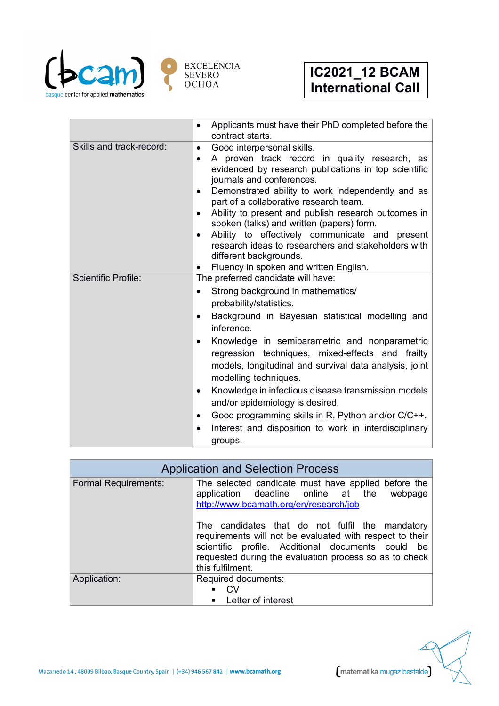

|                            | Applicants must have their PhD completed before the<br>$\bullet$<br>contract starts.                                                                                                                                                                                                                                                                                                                                                                                                                                                                                                                                                                           |
|----------------------------|----------------------------------------------------------------------------------------------------------------------------------------------------------------------------------------------------------------------------------------------------------------------------------------------------------------------------------------------------------------------------------------------------------------------------------------------------------------------------------------------------------------------------------------------------------------------------------------------------------------------------------------------------------------|
| Skills and track-record:   | Good interpersonal skills.<br>$\bullet$<br>A proven track record in quality research, as<br>$\bullet$<br>evidenced by research publications in top scientific<br>journals and conferences.<br>Demonstrated ability to work independently and as<br>$\bullet$<br>part of a collaborative research team.<br>Ability to present and publish research outcomes in<br>$\bullet$<br>spoken (talks) and written (papers) form.<br>Ability to effectively communicate and present<br>$\bullet$<br>research ideas to researchers and stakeholders with<br>different backgrounds.<br>Fluency in spoken and written English.                                              |
| <b>Scientific Profile:</b> | The preferred candidate will have:<br>Strong background in mathematics/<br>$\bullet$<br>probability/statistics.<br>Background in Bayesian statistical modelling and<br>$\bullet$<br>inference.<br>Knowledge in semiparametric and nonparametric<br>$\bullet$<br>regression techniques, mixed-effects and frailty<br>models, longitudinal and survival data analysis, joint<br>modelling techniques.<br>Knowledge in infectious disease transmission models<br>$\bullet$<br>and/or epidemiology is desired.<br>Good programming skills in R, Python and/or C/C++.<br>$\bullet$<br>Interest and disposition to work in interdisciplinary<br>$\bullet$<br>groups. |

| <b>Application and Selection Process</b> |                                                                                                                                                                                                                                                |  |
|------------------------------------------|------------------------------------------------------------------------------------------------------------------------------------------------------------------------------------------------------------------------------------------------|--|
| <b>Formal Requirements:</b>              | The selected candidate must have applied before the<br>application deadline online at the webpage<br>http://www.bcamath.org/en/research/job                                                                                                    |  |
|                                          | The candidates that do not fulfil the mandatory<br>requirements will not be evaluated with respect to their<br>scientific profile. Additional documents could be<br>requested during the evaluation process so as to check<br>this fulfilment. |  |
| Application:                             | Required documents:<br><b>CV</b><br>$\blacksquare$<br>Letter of interest<br>٠                                                                                                                                                                  |  |